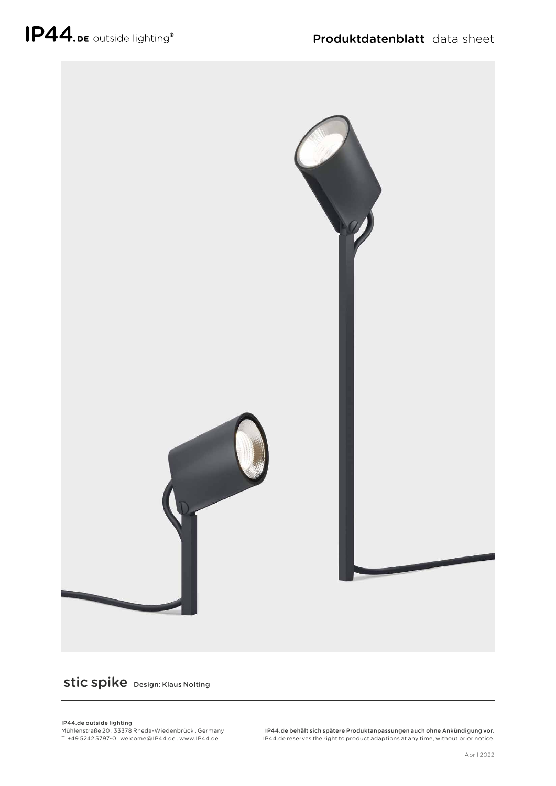

## stic spike Design: Klaus Nolting

## IP44.de outside lighting

Mühlenstraße 20 . 33378 Rheda-Wiedenbrück . Germany T +49 5242 5797-0 . welcome @ IP44.de . www.IP44.de

IP44.de behält sich spätere Produktanpassungen auch ohne Ankündigung vor. IP44.de reserves the right to product adaptions at any time, without prior notice.